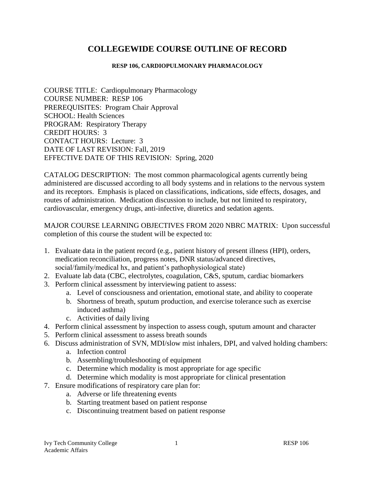# **COLLEGEWIDE COURSE OUTLINE OF RECORD**

#### **RESP 106, CARDIOPULMONARY PHARMACOLOGY**

COURSE TITLE: Cardiopulmonary Pharmacology COURSE NUMBER: RESP 106 PREREQUISITES: Program Chair Approval SCHOOL: Health Sciences PROGRAM: Respiratory Therapy CREDIT HOURS: 3 CONTACT HOURS: Lecture: 3 DATE OF LAST REVISION: Fall, 2019 EFFECTIVE DATE OF THIS REVISION: Spring, 2020

CATALOG DESCRIPTION: The most common pharmacological agents currently being administered are discussed according to all body systems and in relations to the nervous system and its receptors. Emphasis is placed on classifications, indications, side effects, dosages, and routes of administration. Medication discussion to include, but not limited to respiratory, cardiovascular, emergency drugs, anti-infective, diuretics and sedation agents.

MAJOR COURSE LEARNING OBJECTIVES FROM 2020 NBRC MATRIX: Upon successful completion of this course the student will be expected to:

- 1. Evaluate data in the patient record (e.g., patient history of present illness (HPI), orders, medication reconciliation, progress notes, DNR status/advanced directives, social/family/medical hx, and patient's pathophysiological state)
- 2. Evaluate lab data (CBC, electrolytes, coagulation, C&S, sputum, cardiac biomarkers
- 3. Perform clinical assessment by interviewing patient to assess:
	- a. Level of consciousness and orientation, emotional state, and ability to cooperate
	- b. Shortness of breath, sputum production, and exercise tolerance such as exercise induced asthma)
	- c. Activities of daily living
- 4. Perform clinical assessment by inspection to assess cough, sputum amount and character
- 5. Perform clinical assessment to assess breath sounds
- 6. Discuss administration of SVN, MDI/slow mist inhalers, DPI, and valved holding chambers:
	- a. Infection control
	- b. Assembling/troubleshooting of equipment
	- c. Determine which modality is most appropriate for age specific
	- d. Determine which modality is most appropriate for clinical presentation
- 7. Ensure modifications of respiratory care plan for:
	- a. Adverse or life threatening events
	- b. Starting treatment based on patient response
	- c. Discontinuing treatment based on patient response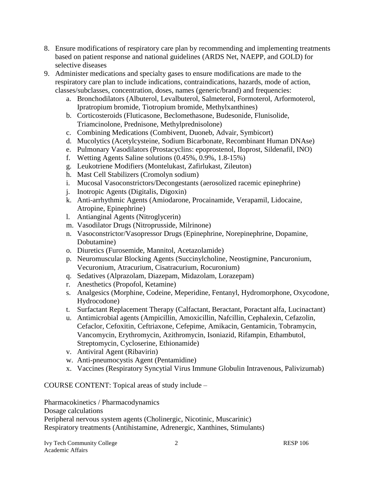- 8. Ensure modifications of respiratory care plan by recommending and implementing treatments based on patient response and national guidelines (ARDS Net, NAEPP, and GOLD) for selective diseases
- 9. Administer medications and specialty gases to ensure modifications are made to the respiratory care plan to include indications, contraindications, hazards, mode of action, classes/subclasses, concentration, doses, names (generic/brand) and frequencies:
	- a. Bronchodilators (Albuterol, Levalbuterol, Salmeterol, Formoterol, Arformoterol, Ipratropium bromide, Tiotropium bromide, Methylxanthines)
	- b. Corticosteroids (Fluticasone, Beclomethasone, Budesonide, Flunisolide, Triamcinolone, Prednisone, Methylprednisolone)
	- c. Combining Medications (Combivent, Duoneb, Advair, Symbicort)
	- d. Mucolytics (Acetylcysteine, Sodium Bicarbonate, Recombinant Human DNAse)
	- e. Pulmonary Vasodilators (Prostacyclins: epoprostenol, IIoprost, Sildenafil, INO)
	- f. Wetting Agents Saline solutions (0.45%, 0.9%, 1.8-15%)
	- g. Leukotriene Modifiers (Montelukast, Zafirlukast, Zileuton)
	- h. Mast Cell Stabilizers (Cromolyn sodium)
	- i. Mucosal Vasoconstrictors/Decongestants (aerosolized racemic epinephrine)
	- j. Inotropic Agents (Digitalis, Digoxin)
	- k. Anti-arrhythmic Agents (Amiodarone, Procainamide, Verapamil, Lidocaine, Atropine, Epinephrine)
	- l. Antianginal Agents (Nitroglycerin)
	- m. Vasodilator Drugs (Nitroprusside, Milrinone)
	- n. Vasoconstrictor/Vasopressor Drugs (Epinephrine, Norepinephrine, Dopamine, Dobutamine)
	- o. Diuretics (Furosemide, Mannitol, Acetazolamide)
	- p. Neuromuscular Blocking Agents (Succinylcholine, Neostigmine, Pancuronium, Vecuronium, Atracurium, Cisatracurium, Rocuronium)
	- q. Sedatives (Alprazolam, Diazepam, Midazolam, Lorazepam)
	- r. Anesthetics (Propofol, Ketamine)
	- s. Analgesics (Morphine, Codeine, Meperidine, Fentanyl, Hydromorphone, Oxycodone, Hydrocodone)
	- t. Surfactant Replacement Therapy (Calfactant, Beractant, Poractant alfa, Lucinactant)
	- u. Antimicrobial agents (Ampicillin, Amoxicillin, Nafcillin, Cephalexin, Cefazolin, Cefaclor, Cefoxitin, Ceftriaxone, Cefepime, Amikacin, Gentamicin, Tobramycin, Vancomycin, Erythromycin, Azithromycin, Isoniazid, Rifampin, Ethambutol, Streptomycin, Cycloserine, Ethionamide)
	- v. Antiviral Agent (Ribavirin)
	- w. Anti-pneumocystis Agent (Pentamidine)
	- x. Vaccines (Respiratory Syncytial Virus Immune Globulin Intravenous, Palivizumab)

## COURSE CONTENT: Topical areas of study include –

Pharmacokinetics / Pharmacodynamics Dosage calculations Peripheral nervous system agents (Cholinergic, Nicotinic, Muscarinic) Respiratory treatments (Antihistamine, Adrenergic, Xanthines, Stimulants)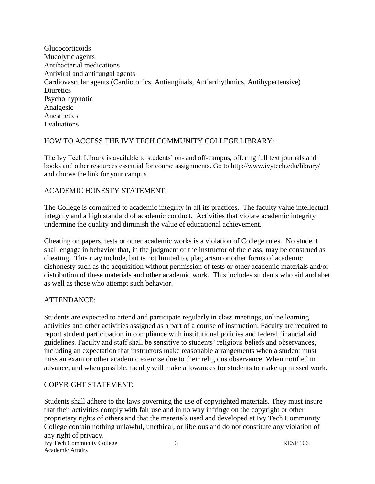**Glucocorticoids** Mucolytic agents Antibacterial medications Antiviral and antifungal agents Cardiovascular agents (Cardiotonics, Antianginals, Antiarrhythmics, Antihypertensive) **Diuretics** Psycho hypnotic Analgesic **Anesthetics** Evaluations

# HOW TO ACCESS THE IVY TECH COMMUNITY COLLEGE LIBRARY:

The Ivy Tech Library is available to students' on- and off-campus, offering full text journals and books and other resources essential for course assignments. Go to<http://www.ivytech.edu/library/> and choose the link for your campus.

# ACADEMIC HONESTY STATEMENT:

The College is committed to academic integrity in all its practices. The faculty value intellectual integrity and a high standard of academic conduct. Activities that violate academic integrity undermine the quality and diminish the value of educational achievement.

Cheating on papers, tests or other academic works is a violation of College rules. No student shall engage in behavior that, in the judgment of the instructor of the class, may be construed as cheating. This may include, but is not limited to, plagiarism or other forms of academic dishonesty such as the acquisition without permission of tests or other academic materials and/or distribution of these materials and other academic work. This includes students who aid and abet as well as those who attempt such behavior.

# ATTENDANCE:

Students are expected to attend and participate regularly in class meetings, online learning activities and other activities assigned as a part of a course of instruction. Faculty are required to report student participation in compliance with institutional policies and federal financial aid guidelines. Faculty and staff shall be sensitive to students' religious beliefs and observances, including an expectation that instructors make reasonable arrangements when a student must miss an exam or other academic exercise due to their religious observance. When notified in advance, and when possible, faculty will make allowances for students to make up missed work.

## COPYRIGHT STATEMENT:

Ivy Tech Community College 3 3 RESP 106 Academic Affairs Students shall adhere to the laws governing the use of copyrighted materials. They must insure that their activities comply with fair use and in no way infringe on the copyright or other proprietary rights of others and that the materials used and developed at Ivy Tech Community College contain nothing unlawful, unethical, or libelous and do not constitute any violation of any right of privacy.